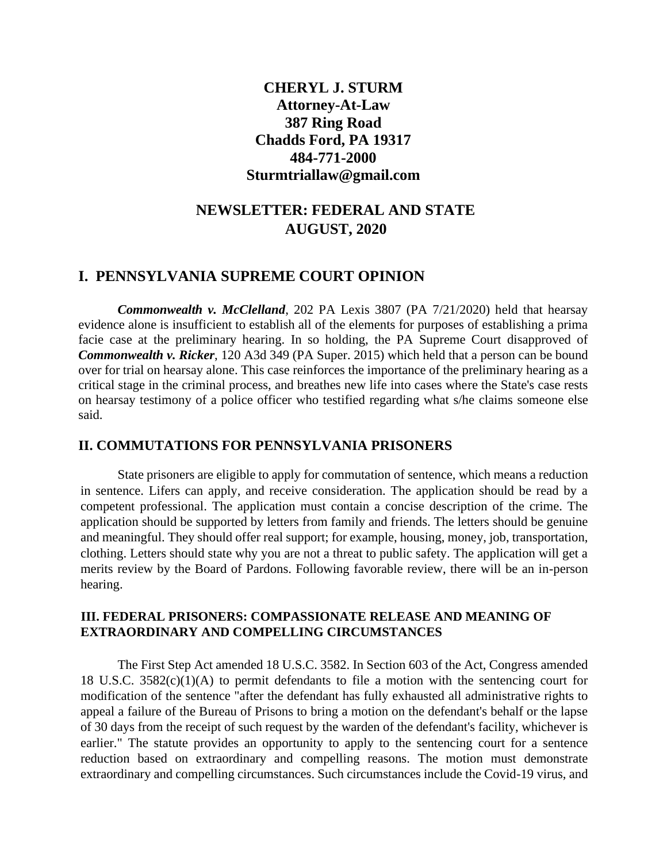## **CHERYL J. STURM Attorney-At-Law 387 Ring Road Chadds Ford, PA 19317 484-771-2000 Sturmtriallaw@gmail.com**

# **NEWSLETTER: FEDERAL AND STATE AUGUST, 2020**

### **I. PENNSYLVANIA SUPREME COURT OPINION**

*Commonwealth v. McClelland*, 202 PA Lexis 3807 (PA 7/21/2020) held that hearsay evidence alone is insufficient to establish all of the elements for purposes of establishing a prima facie case at the preliminary hearing. In so holding, the PA Supreme Court disapproved of *Commonwealth v. Ricker*, 120 A3d 349 (PA Super. 2015) which held that a person can be bound over for trial on hearsay alone. This case reinforces the importance of the preliminary hearing as a critical stage in the criminal process, and breathes new life into cases where the State's case rests on hearsay testimony of a police officer who testified regarding what s/he claims someone else said.

#### **II. COMMUTATIONS FOR PENNSYLVANIA PRISONERS**

State prisoners are eligible to apply for commutation of sentence, which means a reduction in sentence. Lifers can apply, and receive consideration. The application should be read by a competent professional. The application must contain a concise description of the crime. The application should be supported by letters from family and friends. The letters should be genuine and meaningful. They should offer real support; for example, housing, money, job, transportation, clothing. Letters should state why you are not a threat to public safety. The application will get a merits review by the Board of Pardons. Following favorable review, there will be an in-person hearing.

#### **III. FEDERAL PRISONERS: COMPASSIONATE RELEASE AND MEANING OF EXTRAORDINARY AND COMPELLING CIRCUMSTANCES**

The First Step Act amended 18 U.S.C. 3582. In Section 603 of the Act, Congress amended 18 U.S.C. 3582(c)(1)(A) to permit defendants to file a motion with the sentencing court for modification of the sentence "after the defendant has fully exhausted all administrative rights to appeal a failure of the Bureau of Prisons to bring a motion on the defendant's behalf or the lapse of 30 days from the receipt of such request by the warden of the defendant's facility, whichever is earlier." The statute provides an opportunity to apply to the sentencing court for a sentence reduction based on extraordinary and compelling reasons. The motion must demonstrate extraordinary and compelling circumstances. Such circumstances include the Covid-19 virus, and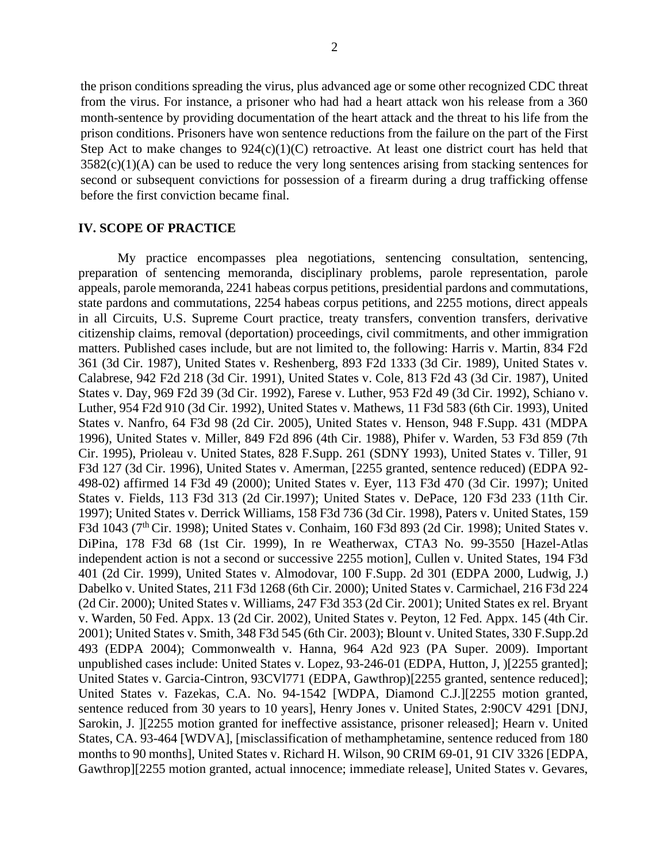the prison conditions spreading the virus, plus advanced age or some other recognized CDC threat from the virus. For instance, a prisoner who had had a heart attack won his release from a 360 month-sentence by providing documentation of the heart attack and the threat to his life from the prison conditions. Prisoners have won sentence reductions from the failure on the part of the First Step Act to make changes to  $924(c)(1)(C)$  retroactive. At least one district court has held that  $3582(c)(1)(A)$  can be used to reduce the very long sentences arising from stacking sentences for second or subsequent convictions for possession of a firearm during a drug trafficking offense before the first conviction became final.

#### **IV. SCOPE OF PRACTICE**

My practice encompasses plea negotiations, sentencing consultation, sentencing, preparation of sentencing memoranda, disciplinary problems, parole representation, parole appeals, parole memoranda, 2241 habeas corpus petitions, presidential pardons and commutations, state pardons and commutations, 2254 habeas corpus petitions, and 2255 motions, direct appeals in all Circuits, U.S. Supreme Court practice, treaty transfers, convention transfers, derivative citizenship claims, removal (deportation) proceedings, civil commitments, and other immigration matters. Published cases include, but are not limited to, the following: Harris v. Martin, 834 F2d 361 (3d Cir. 1987), United States v. Reshenberg, 893 F2d 1333 (3d Cir. 1989), United States v. Calabrese, 942 F2d 218 (3d Cir. 1991), United States v. Cole, 813 F2d 43 (3d Cir. 1987), United States v. Day, 969 F2d 39 (3d Cir. 1992), Farese v. Luther, 953 F2d 49 (3d Cir. 1992), Schiano v. Luther, 954 F2d 910 (3d Cir. 1992), United States v. Mathews, 11 F3d 583 (6th Cir. 1993), United States v. Nanfro, 64 F3d 98 (2d Cir. 2005), United States v. Henson, 948 F.Supp. 431 (MDPA 1996), United States v. Miller, 849 F2d 896 (4th Cir. 1988), Phifer v. Warden, 53 F3d 859 (7th Cir. 1995), Prioleau v. United States, 828 F.Supp. 261 (SDNY 1993), United States v. Tiller, 91 F3d 127 (3d Cir. 1996), United States v. Amerman, [2255 granted, sentence reduced) (EDPA 92- 498-02) affirmed 14 F3d 49 (2000); United States v. Eyer, 113 F3d 470 (3d Cir. 1997); United States v. Fields, 113 F3d 313 (2d Cir.1997); United States v. DePace, 120 F3d 233 (11th Cir. 1997); United States v. Derrick Williams, 158 F3d 736 (3d Cir. 1998), Paters v. United States, 159 F3d 1043 (7<sup>th</sup> Cir. 1998); United States v. Conhaim, 160 F3d 893 (2d Cir. 1998); United States v. DiPina, 178 F3d 68 (1st Cir. 1999), In re Weatherwax, CTA3 No. 99-3550 [Hazel-Atlas independent action is not a second or successive 2255 motion], Cullen v. United States, 194 F3d 401 (2d Cir. 1999), United States v. Almodovar, 100 F.Supp. 2d 301 (EDPA 2000, Ludwig, J.) Dabelko v. United States, 211 F3d 1268 (6th Cir. 2000); United States v. Carmichael, 216 F3d 224 (2d Cir. 2000); United States v. Williams, 247 F3d 353 (2d Cir. 2001); United States ex rel. Bryant v. Warden, 50 Fed. Appx. 13 (2d Cir. 2002), United States v. Peyton, 12 Fed. Appx. 145 (4th Cir. 2001); United States v. Smith, 348 F3d 545 (6th Cir. 2003); Blount v. United States, 330 F.Supp.2d 493 (EDPA 2004); Commonwealth v. Hanna, 964 A2d 923 (PA Super. 2009). Important unpublished cases include: United States v. Lopez, 93-246-01 (EDPA, Hutton, J, )[2255 granted]; United States v. Garcia-Cintron, 93CVl771 (EDPA, Gawthrop)[2255 granted, sentence reduced]; United States v. Fazekas, C.A. No. 94-1542 [WDPA, Diamond C.J.][2255 motion granted, sentence reduced from 30 years to 10 years], Henry Jones v. United States, 2:90CV 4291 [DNJ, Sarokin, J. [2255 motion granted for ineffective assistance, prisoner released]; Hearn v. United States, CA. 93-464 [WDVA], [misclassification of methamphetamine, sentence reduced from 180 months to 90 months], United States v. Richard H. Wilson, 90 CRIM 69-01, 91 CIV 3326 [EDPA, Gawthrop][2255 motion granted, actual innocence; immediate release], United States v. Gevares,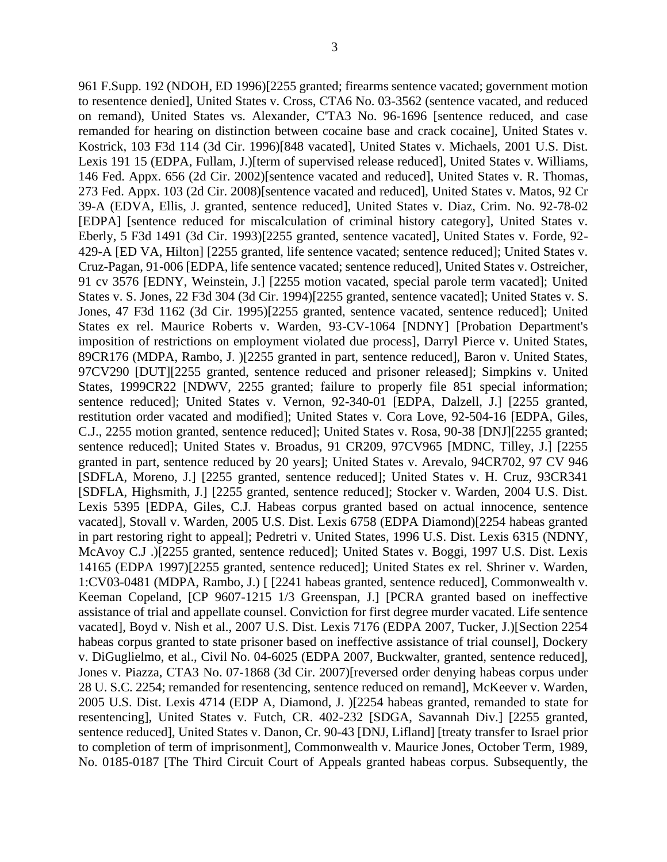961 F.Supp. 192 (NDOH, ED 1996)[2255 granted; firearms sentence vacated; government motion to resentence denied], United States v. Cross, CTA6 No. 03-3562 (sentence vacated, and reduced on remand), United States vs. Alexander, C'TA3 No. 96-1696 [sentence reduced, and case remanded for hearing on distinction between cocaine base and crack cocaine], United States v. Kostrick, 103 F3d 114 (3d Cir. 1996)[848 vacated], United States v. Michaels, 2001 U.S. Dist. Lexis 191 15 (EDPA, Fullam, J.)[term of supervised release reduced], United States v. Williams, 146 Fed. Appx. 656 (2d Cir. 2002)[sentence vacated and reduced], United States v. R. Thomas, 273 Fed. Appx. 103 (2d Cir. 2008)[sentence vacated and reduced], United States v. Matos, 92 Cr 39-A (EDVA, Ellis, J. granted, sentence reduced], United States v. Diaz, Crim. No. 92-78-02 [EDPA] [sentence reduced for miscalculation of criminal history category], United States v. Eberly, 5 F3d 1491 (3d Cir. 1993)[2255 granted, sentence vacated], United States v. Forde, 92- 429-A [ED VA, Hilton] [2255 granted, life sentence vacated; sentence reduced]; United States v. Cruz-Pagan, 91-006 [EDPA, life sentence vacated; sentence reduced], United States v. Ostreicher, 91 cv 3576 [EDNY, Weinstein, J.] [2255 motion vacated, special parole term vacated]; United States v. S. Jones, 22 F3d 304 (3d Cir. 1994)[2255 granted, sentence vacated]; United States v. S. Jones, 47 F3d 1162 (3d Cir. 1995)[2255 granted, sentence vacated, sentence reduced]; United States ex rel. Maurice Roberts v. Warden, 93-CV-1064 [NDNY] [Probation Department's imposition of restrictions on employment violated due process], Darryl Pierce v. United States, 89CR176 (MDPA, Rambo, J. )[2255 granted in part, sentence reduced], Baron v. United States, 97CV290 [DUT][2255 granted, sentence reduced and prisoner released]; Simpkins v. United States, 1999CR22 [NDWV, 2255 granted; failure to properly file 851 special information; sentence reduced]; United States v. Vernon, 92-340-01 [EDPA, Dalzell, J.] [2255 granted, restitution order vacated and modified]; United States v. Cora Love, 92-504-16 [EDPA, Giles, C.J., 2255 motion granted, sentence reduced]; United States v. Rosa, 90-38 [DNJ][2255 granted; sentence reduced]; United States v. Broadus, 91 CR209, 97CV965 [MDNC, Tilley, J.] [2255 granted in part, sentence reduced by 20 years]; United States v. Arevalo, 94CR702, 97 CV 946 [SDFLA, Moreno, J.] [2255 granted, sentence reduced]; United States v. H. Cruz, 93CR341 [SDFLA, Highsmith, J.] [2255 granted, sentence reduced]; Stocker v. Warden, 2004 U.S. Dist. Lexis 5395 [EDPA, Giles, C.J. Habeas corpus granted based on actual innocence, sentence vacated], Stovall v. Warden, 2005 U.S. Dist. Lexis 6758 (EDPA Diamond)[2254 habeas granted in part restoring right to appeal]; Pedretri v. United States, 1996 U.S. Dist. Lexis 6315 (NDNY, McAvoy C.J .)[2255 granted, sentence reduced]; United States v. Boggi, 1997 U.S. Dist. Lexis 14165 (EDPA 1997)[2255 granted, sentence reduced]; United States ex rel. Shriner v. Warden, 1:CV03-0481 (MDPA, Rambo, J.) [ [2241 habeas granted, sentence reduced], Commonwealth v. Keeman Copeland, [CP 9607-1215 1/3 Greenspan, J.] [PCRA granted based on ineffective assistance of trial and appellate counsel. Conviction for first degree murder vacated. Life sentence vacated], Boyd v. Nish et al., 2007 U.S. Dist. Lexis 7176 (EDPA 2007, Tucker, J.)[Section 2254 habeas corpus granted to state prisoner based on ineffective assistance of trial counsel], Dockery v. DiGuglielmo, et al., Civil No. 04-6025 (EDPA 2007, Buckwalter, granted, sentence reduced], Jones v. Piazza, CTA3 No. 07-1868 (3d Cir. 2007)[reversed order denying habeas corpus under 28 U. S.C. 2254; remanded for resentencing, sentence reduced on remand], McKeever v. Warden, 2005 U.S. Dist. Lexis 4714 (EDP A, Diamond, J. )[2254 habeas granted, remanded to state for resentencing], United States v. Futch, CR. 402-232 [SDGA, Savannah Div.] [2255 granted, sentence reduced], United States v. Danon, Cr. 90-43 [DNJ, Lifland] [treaty transfer to Israel prior to completion of term of imprisonment], Commonwealth v. Maurice Jones, October Term, 1989, No. 0185-0187 [The Third Circuit Court of Appeals granted habeas corpus. Subsequently, the